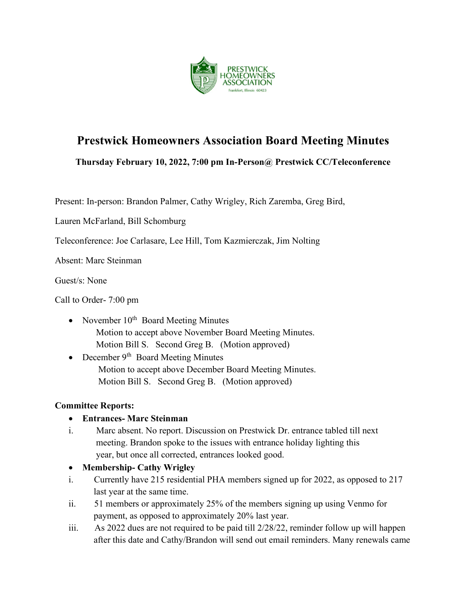

# Prestwick Homeowners Association Board Meeting Minutes

Thursday February 10, 2022, 7:00 pm In-Person@ Prestwick CC/Teleconference

Present: In-person: Brandon Palmer, Cathy Wrigley, Rich Zaremba, Greg Bird,

Lauren McFarland, Bill Schomburg

Teleconference: Joe Carlasare, Lee Hill, Tom Kazmierczak, Jim Nolting

Absent: Marc Steinman

Guest/s: None

Call to Order- 7:00 pm

- November  $10^{th}$  Board Meeting Minutes Motion to accept above November Board Meeting Minutes. Motion Bill S. Second Greg B. (Motion approved)
- December  $9<sup>th</sup>$  Board Meeting Minutes Motion to accept above December Board Meeting Minutes. Motion Bill S. Second Greg B. (Motion approved)

### Committee Reports:

### Entrances- Marc Steinman

- i. Marc absent. No report. Discussion on Prestwick Dr. entrance tabled till next meeting. Brandon spoke to the issues with entrance holiday lighting this year, but once all corrected, entrances looked good.
- Membership- Cathy Wrigley
- i. Currently have 215 residential PHA members signed up for 2022, as opposed to 217 last year at the same time.
- ii. 51 members or approximately 25% of the members signing up using Venmo for payment, as opposed to approximately 20% last year.
- iii. As 2022 dues are not required to be paid till 2/28/22, reminder follow up will happen after this date and Cathy/Brandon will send out email reminders. Many renewals came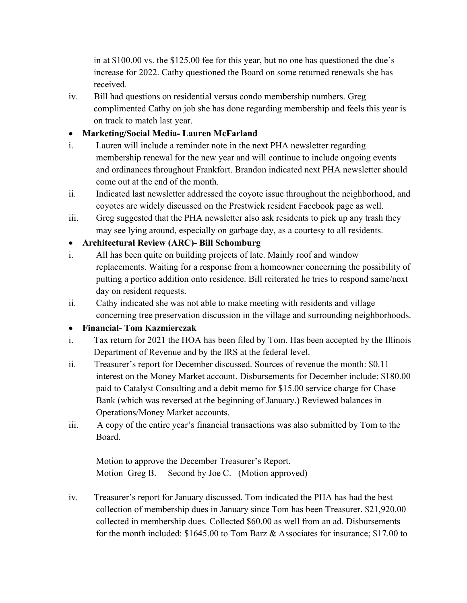in at \$100.00 vs. the \$125.00 fee for this year, but no one has questioned the due's increase for 2022. Cathy questioned the Board on some returned renewals she has received.

iv. Bill had questions on residential versus condo membership numbers. Greg complimented Cathy on job she has done regarding membership and feels this year is on track to match last year.

# Marketing/Social Media- Lauren McFarland

- i. Lauren will include a reminder note in the next PHA newsletter regarding membership renewal for the new year and will continue to include ongoing events and ordinances throughout Frankfort. Brandon indicated next PHA newsletter should come out at the end of the month.
- ii. Indicated last newsletter addressed the coyote issue throughout the neighborhood, and coyotes are widely discussed on the Prestwick resident Facebook page as well.
- iii. Greg suggested that the PHA newsletter also ask residents to pick up any trash they may see lying around, especially on garbage day, as a courtesy to all residents.

# Architectural Review (ARC)- Bill Schomburg

- i. All has been quite on building projects of late. Mainly roof and window replacements. Waiting for a response from a homeowner concerning the possibility of putting a portico addition onto residence. Bill reiterated he tries to respond same/next day on resident requests.
- ii. Cathy indicated she was not able to make meeting with residents and village concerning tree preservation discussion in the village and surrounding neighborhoods.

### Financial- Tom Kazmierczak

- i. Tax return for 2021 the HOA has been filed by Tom. Has been accepted by the Illinois Department of Revenue and by the IRS at the federal level.
- ii. Treasurer's report for December discussed. Sources of revenue the month: \$0.11 interest on the Money Market account. Disbursements for December include: \$180.00 paid to Catalyst Consulting and a debit memo for \$15.00 service charge for Chase Bank (which was reversed at the beginning of January.) Reviewed balances in Operations/Money Market accounts.
- iii. A copy of the entire year's financial transactions was also submitted by Tom to the Board.

Motion to approve the December Treasurer's Report. Motion Greg B. Second by Joe C. (Motion approved)

iv. Treasurer's report for January discussed. Tom indicated the PHA has had the best collection of membership dues in January since Tom has been Treasurer. \$21,920.00 collected in membership dues. Collected \$60.00 as well from an ad. Disbursements for the month included: \$1645.00 to Tom Barz & Associates for insurance; \$17.00 to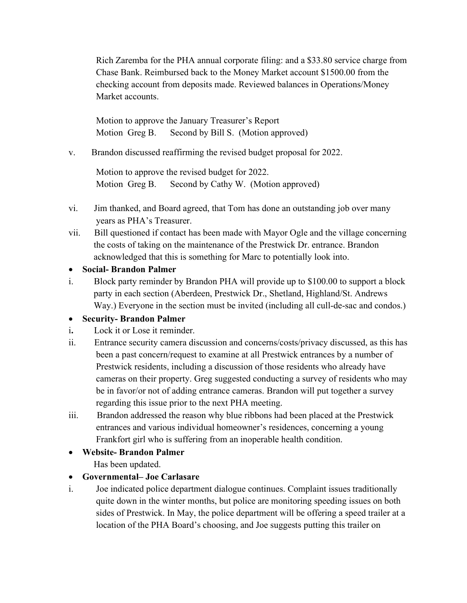Rich Zaremba for the PHA annual corporate filing: and a \$33.80 service charge from Chase Bank. Reimbursed back to the Money Market account \$1500.00 from the checking account from deposits made. Reviewed balances in Operations/Money Market accounts.

 Motion to approve the January Treasurer's Report Motion Greg B. Second by Bill S. (Motion approved)

v. Brandon discussed reaffirming the revised budget proposal for 2022.

Motion to approve the revised budget for 2022. Motion Greg B. Second by Cathy W. (Motion approved)

- vi. Jim thanked, and Board agreed, that Tom has done an outstanding job over many years as PHA's Treasurer.
- vii. Bill questioned if contact has been made with Mayor Ogle and the village concerning the costs of taking on the maintenance of the Prestwick Dr. entrance. Brandon acknowledged that this is something for Marc to potentially look into.
- Social- Brandon Palmer
- i. Block party reminder by Brandon PHA will provide up to \$100.00 to support a block party in each section (Aberdeen, Prestwick Dr., Shetland, Highland/St. Andrews Way.) Everyone in the section must be invited (including all cull-de-sac and condos.)

#### Security- Brandon Palmer

- i. Lock it or Lose it reminder.
- ii. Entrance security camera discussion and concerns/costs/privacy discussed, as this has been a past concern/request to examine at all Prestwick entrances by a number of Prestwick residents, including a discussion of those residents who already have cameras on their property. Greg suggested conducting a survey of residents who may be in favor/or not of adding entrance cameras. Brandon will put together a survey regarding this issue prior to the next PHA meeting.
- iii. Brandon addressed the reason why blue ribbons had been placed at the Prestwick entrances and various individual homeowner's residences, concerning a young Frankfort girl who is suffering from an inoperable health condition.
- Website- Brandon Palmer

Has been updated.

- Governmental– Joe Carlasare
- i. Joe indicated police department dialogue continues. Complaint issues traditionally quite down in the winter months, but police are monitoring speeding issues on both sides of Prestwick. In May, the police department will be offering a speed trailer at a location of the PHA Board's choosing, and Joe suggests putting this trailer on